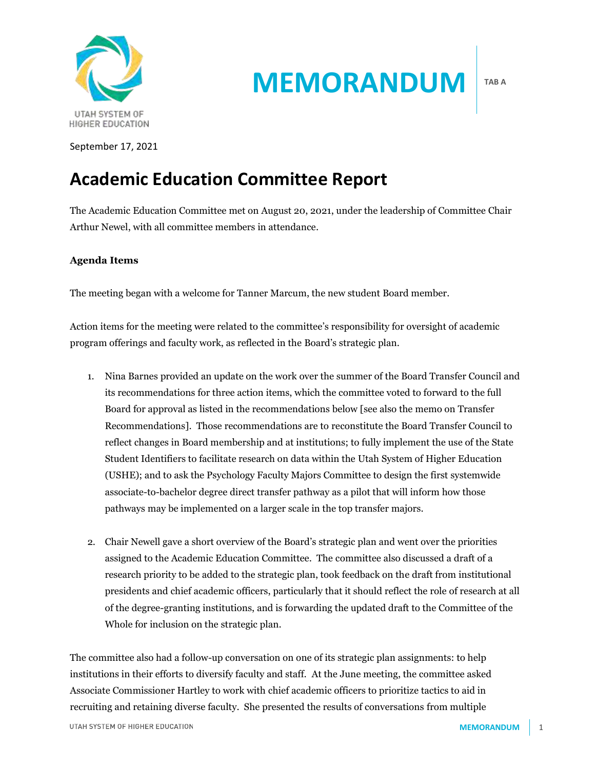

**MEMORANDUM**

**TAB A**

September 17, 2021

# **Academic Education Committee Report**

The Academic Education Committee met on August 20, 2021, under the leadership of Committee Chair Arthur Newel, with all committee members in attendance.

### **Agenda Items**

The meeting began with a welcome for Tanner Marcum, the new student Board member.

Action items for the meeting were related to the committee's responsibility for oversight of academic program offerings and faculty work, as reflected in the Board's strategic plan.

- 1. Nina Barnes provided an update on the work over the summer of the Board Transfer Council and its recommendations for three action items, which the committee voted to forward to the full Board for approval as listed in the recommendations below [see also the memo on Transfer Recommendations]. Those recommendations are to reconstitute the Board Transfer Council to reflect changes in Board membership and at institutions; to fully implement the use of the State Student Identifiers to facilitate research on data within the Utah System of Higher Education (USHE); and to ask the Psychology Faculty Majors Committee to design the first systemwide associate-to-bachelor degree direct transfer pathway as a pilot that will inform how those pathways may be implemented on a larger scale in the top transfer majors.
- 2. Chair Newell gave a short overview of the Board's strategic plan and went over the priorities assigned to the Academic Education Committee. The committee also discussed a draft of a research priority to be added to the strategic plan, took feedback on the draft from institutional presidents and chief academic officers, particularly that it should reflect the role of research at all of the degree-granting institutions, and is forwarding the updated draft to the Committee of the Whole for inclusion on the strategic plan.

The committee also had a follow-up conversation on one of its strategic plan assignments: to help institutions in their efforts to diversify faculty and staff. At the June meeting, the committee asked Associate Commissioner Hartley to work with chief academic officers to prioritize tactics to aid in recruiting and retaining diverse faculty. She presented the results of conversations from multiple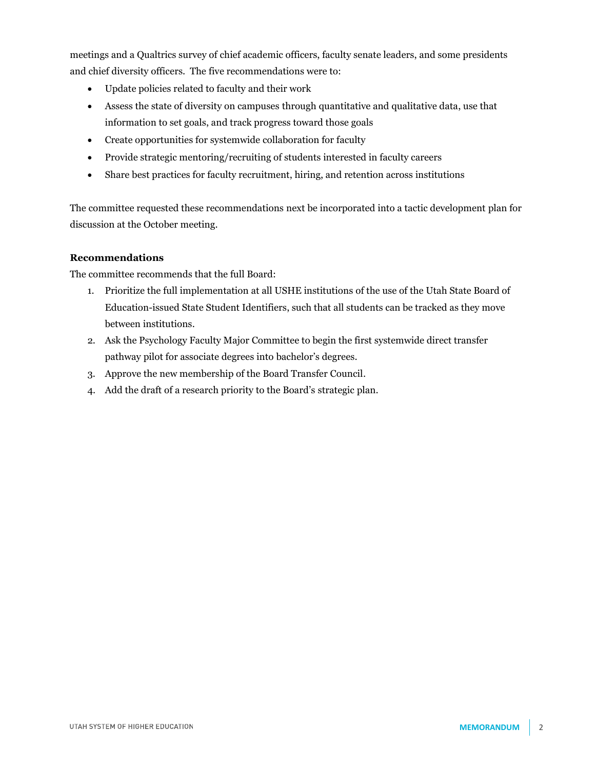meetings and a Qualtrics survey of chief academic officers, faculty senate leaders, and some presidents and chief diversity officers. The five recommendations were to:

- Update policies related to faculty and their work
- Assess the state of diversity on campuses through quantitative and qualitative data, use that information to set goals, and track progress toward those goals
- Create opportunities for systemwide collaboration for faculty
- Provide strategic mentoring/recruiting of students interested in faculty careers
- Share best practices for faculty recruitment, hiring, and retention across institutions

The committee requested these recommendations next be incorporated into a tactic development plan for discussion at the October meeting.

# **Recommendations**

The committee recommends that the full Board:

- 1. Prioritize the full implementation at all USHE institutions of the use of the Utah State Board of Education-issued State Student Identifiers, such that all students can be tracked as they move between institutions.
- 2. Ask the Psychology Faculty Major Committee to begin the first systemwide direct transfer pathway pilot for associate degrees into bachelor's degrees.
- 3. Approve the new membership of the Board Transfer Council.
- 4. Add the draft of a research priority to the Board's strategic plan.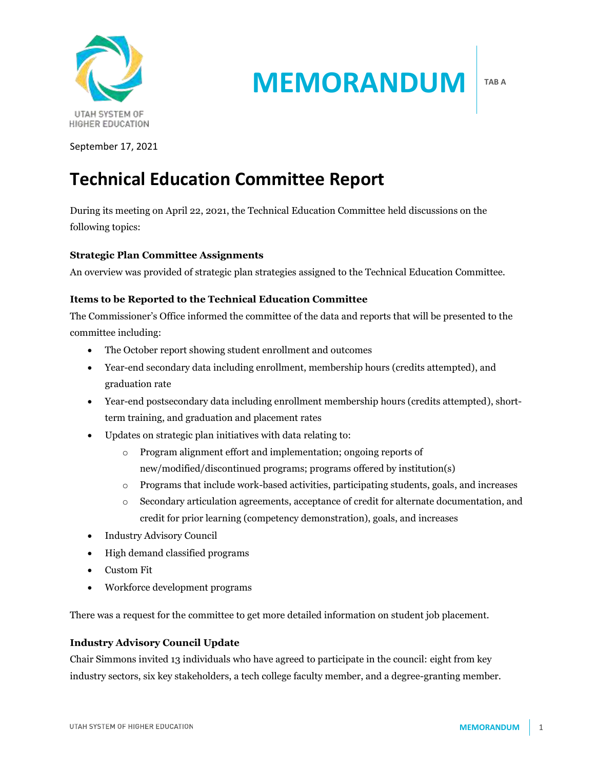

**MEMORANDUM**

**TAB A**

September 17, 2021

# **Technical Education Committee Report**

During its meeting on April 22, 2021, the Technical Education Committee held discussions on the following topics:

# **Strategic Plan Committee Assignments**

An overview was provided of strategic plan strategies assigned to the Technical Education Committee.

# **Items to be Reported to the Technical Education Committee**

The Commissioner's Office informed the committee of the data and reports that will be presented to the committee including:

- The October report showing student enrollment and outcomes
- Year-end secondary data including enrollment, membership hours (credits attempted), and graduation rate
- Year-end postsecondary data including enrollment membership hours (credits attempted), shortterm training, and graduation and placement rates
- Updates on strategic plan initiatives with data relating to:
	- o Program alignment effort and implementation; ongoing reports of new/modified/discontinued programs; programs offered by institution(s)
	- o Programs that include work-based activities, participating students, goals, and increases
	- o Secondary articulation agreements, acceptance of credit for alternate documentation, and credit for prior learning (competency demonstration), goals, and increases
- Industry Advisory Council
- High demand classified programs
- Custom Fit
- Workforce development programs

There was a request for the committee to get more detailed information on student job placement.

### **Industry Advisory Council Update**

Chair Simmons invited 13 individuals who have agreed to participate in the council: eight from key industry sectors, six key stakeholders, a tech college faculty member, and a degree-granting member.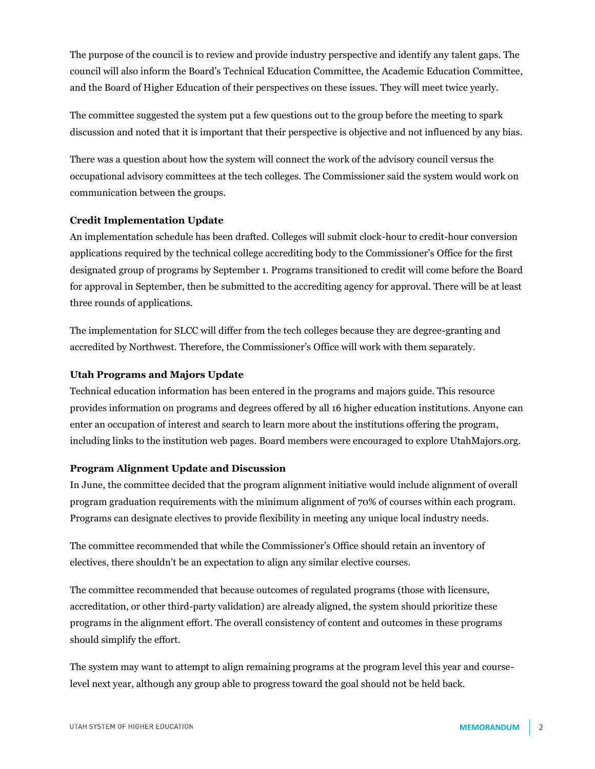The purpose of the council is to review and provide industry perspective and identify any talent gaps. The council will also inform the Board's Technical Education Committee, the Academic Education Committee, and the Board of Higher Education of their perspectives on these issues. They will meet twice yearly.

The committee suggested the system put a few questions out to the group before the meeting to spark discussion and noted that it is important that their perspective is objective and not influenced by any bias.

There was a question about how the system will connect the work of the advisory council versus the occupational advisory committees at the tech colleges. The Commissioner said the system would work on communication between the groups.

### **Credit Implementation Update**

An implementation schedule has been drafted. Colleges will submit clock-hour to credit-hour conversion applications required by the technical college accrediting body to the Commissioner's Office for the first designated group of programs by September 1. Programs transitioned to credit will come before the Board for approval in September, then be submitted to the accrediting agency for approval. There will be at least three rounds of applications.

The implementation for SLCC will differ from the tech colleges because they are degree-granting and accredited by Northwest. Therefore, the Commissioner's Office will work with them separately.

#### **Utah Programs and Majors Update**

Technical education information has been entered in the programs and majors guide. This resource provides information on programs and degrees offered by all 16 higher education institutions. Anyone can enter an occupation of interest and search to learn more about the institutions offering the program, including links to the institution web pages. Board members were encouraged to explore UtahMajors.org.

#### **Program Alignment Update and Discussion**

In June, the committee decided that the program alignment initiative would include alignment of overall program graduation requirements with the minimum alignment of 70% of courses within each program. Programs can designate electives to provide flexibility in meeting any unique local industry needs.

The committee recommended that while the Commissioner's Office should retain an inventory of electives, there shouldn't be an expectation to align any similar elective courses.

The committee recommended that because outcomes of regulated programs (those with licensure, accreditation, or other third-party validation) are already aligned, the system should prioritize these programs in the alignment effort. The overall consistency of content and outcomes in these programs should simplify the effort.

The system may want to attempt to align remaining programs at the program level this year and courselevel next year, although any group able to progress toward the goal should not be held back.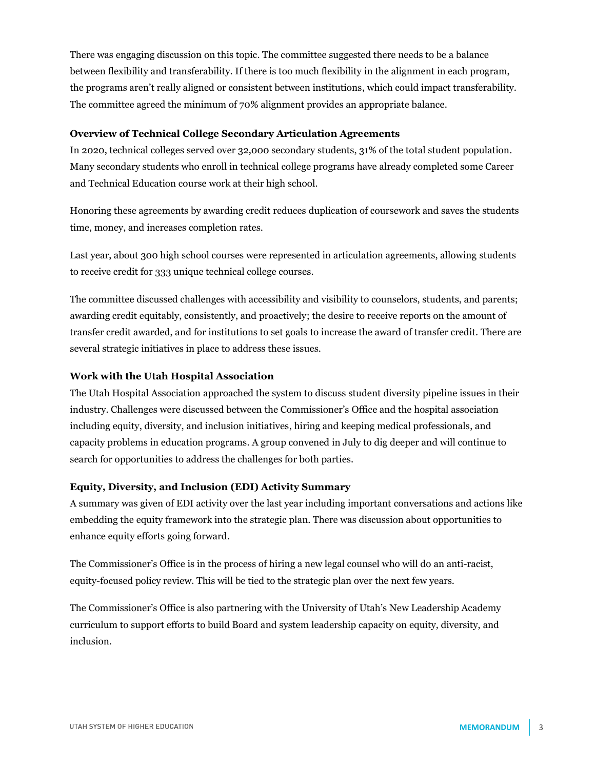There was engaging discussion on this topic. The committee suggested there needs to be a balance between flexibility and transferability. If there is too much flexibility in the alignment in each program, the programs aren't really aligned or consistent between institutions, which could impact transferability. The committee agreed the minimum of 70% alignment provides an appropriate balance.

#### **Overview of Technical College Secondary Articulation Agreements**

In 2020, technical colleges served over 32,000 secondary students, 31% of the total student population. Many secondary students who enroll in technical college programs have already completed some Career and Technical Education course work at their high school.

Honoring these agreements by awarding credit reduces duplication of coursework and saves the students time, money, and increases completion rates.

Last year, about 300 high school courses were represented in articulation agreements, allowing students to receive credit for 333 unique technical college courses.

The committee discussed challenges with accessibility and visibility to counselors, students, and parents; awarding credit equitably, consistently, and proactively; the desire to receive reports on the amount of transfer credit awarded, and for institutions to set goals to increase the award of transfer credit. There are several strategic initiatives in place to address these issues.

#### **Work with the Utah Hospital Association**

The Utah Hospital Association approached the system to discuss student diversity pipeline issues in their industry. Challenges were discussed between the Commissioner's Office and the hospital association including equity, diversity, and inclusion initiatives, hiring and keeping medical professionals, and capacity problems in education programs. A group convened in July to dig deeper and will continue to search for opportunities to address the challenges for both parties.

#### **Equity, Diversity, and Inclusion (EDI) Activity Summary**

A summary was given of EDI activity over the last year including important conversations and actions like embedding the equity framework into the strategic plan. There was discussion about opportunities to enhance equity efforts going forward.

The Commissioner's Office is in the process of hiring a new legal counsel who will do an anti-racist, equity-focused policy review. This will be tied to the strategic plan over the next few years.

The Commissioner's Office is also partnering with the University of Utah's New Leadership Academy curriculum to support efforts to build Board and system leadership capacity on equity, diversity, and inclusion.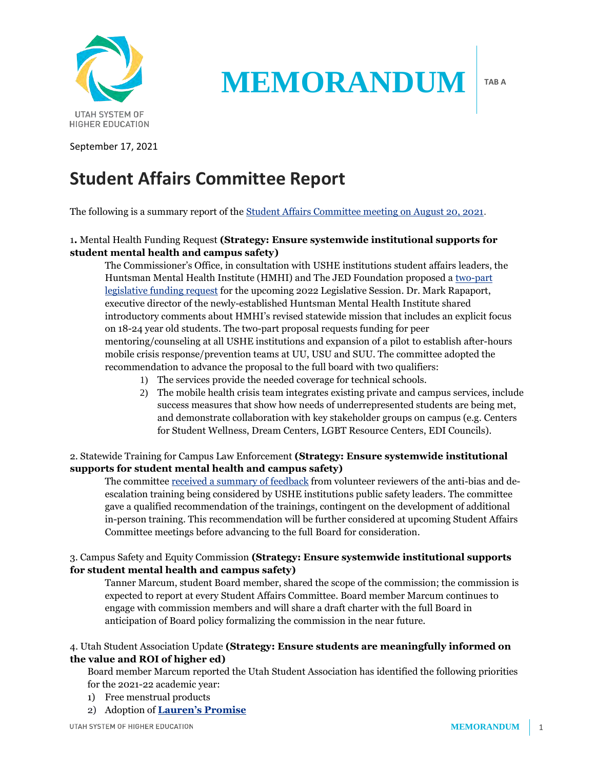

**MEMORANDUM**

**TAB A**

September 17, 2021

# **Student Affairs Committee Report**

The following is a summary report of the [Student Affairs Committee meeting on August 20, 2021.](https://ushe.edu/ushe-meeting-event/board-of-higher-education-meeting-committee-meetings/)

# 1**.** Mental Health Funding Request **(Strategy: Ensure systemwide institutional supports for student mental health and campus safety)**

The Commissioner's Office, in consultation with USHE institutions student affairs leaders, the Huntsman Mental Health Institute (HMHI) and The JED Foundation proposed a [two-part](https://ushe.edu/wp-content/uploads/pdf/agendas/20210820/08-20-2021_sa_tab_c.pdf)  [legislative funding request](https://ushe.edu/wp-content/uploads/pdf/agendas/20210820/08-20-2021_sa_tab_c.pdf) for the upcoming 2022 Legislative Session. Dr. Mark Rapaport, executive director of the newly-established Huntsman Mental Health Institute shared introductory comments about HMHI's revised statewide mission that includes an explicit focus on 18-24 year old students. The two-part proposal requests funding for peer mentoring/counseling at all USHE institutions and expansion of a pilot to establish after-hours mobile crisis response/prevention teams at UU, USU and SUU. The committee adopted the recommendation to advance the proposal to the full board with two qualifiers:

- 1) The services provide the needed coverage for technical schools.
- 2) The mobile health crisis team integrates existing private and campus services, include success measures that show how needs of underrepresented students are being met, and demonstrate collaboration with key stakeholder groups on campus (e.g. Centers for Student Wellness, Dream Centers, LGBT Resource Centers, EDI Councils).

# 2. Statewide Training for Campus Law Enforcement **(Strategy: Ensure systemwide institutional supports for student mental health and campus safety)**

The committe[e received a summary of](https://ushe.edu/wp-content/uploads/pdf/agendas/20210820/08-20-2021_sa_tab_d.pdf) feedback from volunteer reviewers of the anti-bias and deescalation training being considered by USHE institutions public safety leaders. The committee gave a qualified recommendation of the trainings, contingent on the development of additional in-person training. This recommendation will be further considered at upcoming Student Affairs Committee meetings before advancing to the full Board for consideration.

# 3. Campus Safety and Equity Commission **(Strategy: Ensure systemwide institutional supports for student mental health and campus safety)**

Tanner Marcum, student Board member, shared the scope of the commission; the commission is expected to report at every Student Affairs Committee. Board member Marcum continues to engage with commission members and will share a draft charter with the full Board in anticipation of Board policy formalizing the commission in the near future.

# 4. Utah Student Association Update **(Strategy: Ensure students are meaningfully informed on the value and ROI of higher ed)**

Board member Marcum reported the Utah Student Association has identified the following priorities for the 2021-22 academic year:

- 1) Free menstrual products
- 2) Adoption of **[Lauren's Promise](https://www.ksl.com/article/46767219/i-will-listen-and-believe-you-laurens-promise-pledge-reaching-students-throughout-the-us-and-beyond)**